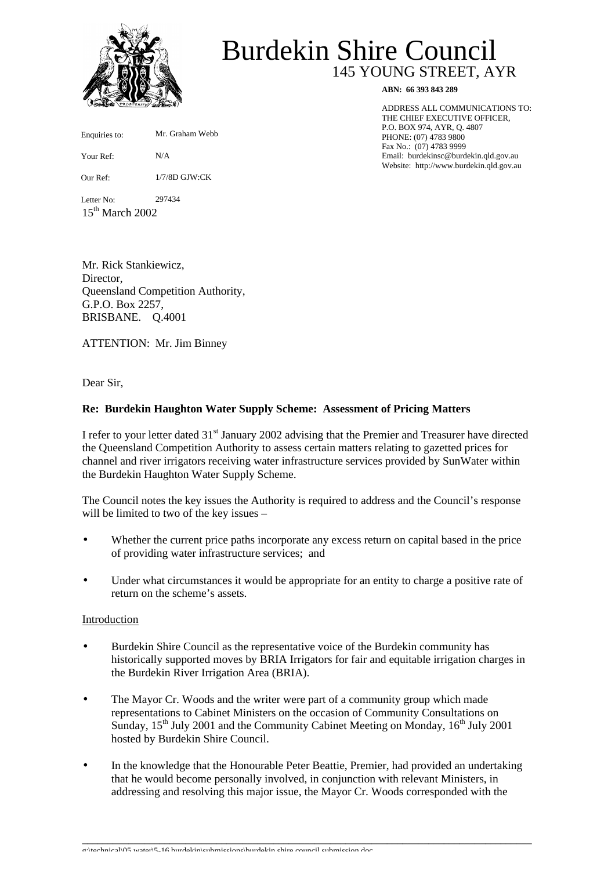

Enquiries to:

Your Ref:

Our Ref:

Letter No:

 $15<sup>th</sup>$  March 2002

# 145 YOUNG STREET, AYR Burdekin Shire Council

**ABN: 66 393 843 289**

ADDRESS ALL COMMUNICATIONS TO: THE CHIEF EXECUTIVE OFFICER, P.O. BOX 974, AYR, Q. 4807 PHONE: (07) 4783 9800 Fax No.: (07) 4783 9999 Email: burdekinsc@burdekin.qld.gov.au Website: http://www.burdekin.qld.gov.au

Mr. Rick Stankiewicz, Director, Queensland Competition Authority, G.P.O. Box 2257,

N/A

297434

Mr. Graham Webb

1/7/8D GJW:CK

ATTENTION: Mr. Jim Binney

BRISBANE. Q.4001

Dear Sir,

## **Re: Burdekin Haughton Water Supply Scheme: Assessment of Pricing Matters**

I refer to your letter dated 31<sup>st</sup> January 2002 advising that the Premier and Treasurer have directed the Queensland Competition Authority to assess certain matters relating to gazetted prices for channel and river irrigators receiving water infrastructure services provided by SunWater within the Burdekin Haughton Water Supply Scheme.

The Council notes the key issues the Authority is required to address and the Council's response will be limited to two of the key issues –

- Whether the current price paths incorporate any excess return on capital based in the price of providing water infrastructure services; and
- Under what circumstances it would be appropriate for an entity to charge a positive rate of return on the scheme's assets.

#### Introduction

- Burdekin Shire Council as the representative voice of the Burdekin community has historically supported moves by BRIA Irrigators for fair and equitable irrigation charges in the Burdekin River Irrigation Area (BRIA).
- The Mayor Cr. Woods and the writer were part of a community group which made representations to Cabinet Ministers on the occasion of Community Consultations on Sunday,  $15<sup>th</sup>$  July 2001 and the Community Cabinet Meeting on Monday,  $16<sup>th</sup>$  July 2001 hosted by Burdekin Shire Council.
- In the knowledge that the Honourable Peter Beattie, Premier, had provided an undertaking that he would become personally involved, in conjunction with relevant Ministers, in addressing and resolving this major issue, the Mayor Cr. Woods corresponded with the

\_\_\_\_\_\_\_\_\_\_\_\_\_\_\_\_\_\_\_\_\_\_\_\_\_\_\_\_\_\_\_\_\_\_\_\_\_\_\_\_\_\_\_\_\_\_\_\_\_\_\_\_\_\_\_\_\_\_\_\_\_\_\_\_\_\_\_\_\_\_\_\_\_\_\_\_\_\_\_\_\_\_\_\_\_\_\_

g:\technical\05 water\5-16 burdekin\submissions\burdekin shire council submission.doc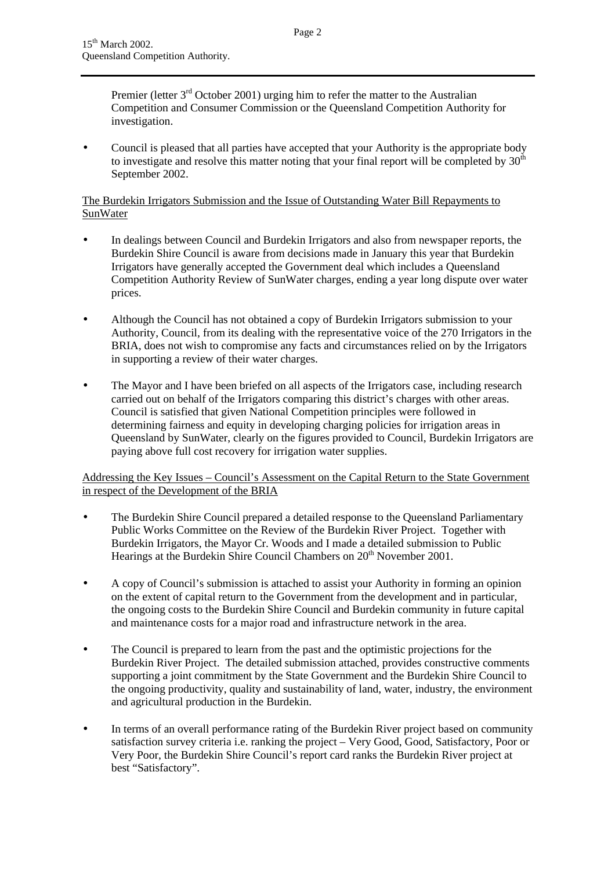Premier (letter 3<sup>rd</sup> October 2001) urging him to refer the matter to the Australian Competition and Consumer Commission or the Queensland Competition Authority for investigation.

• Council is pleased that all parties have accepted that your Authority is the appropriate body to investigate and resolve this matter noting that your final report will be completed by  $30<sup>th</sup>$ September 2002.

## The Burdekin Irrigators Submission and the Issue of Outstanding Water Bill Repayments to **SunWater**

- In dealings between Council and Burdekin Irrigators and also from newspaper reports, the Burdekin Shire Council is aware from decisions made in January this year that Burdekin Irrigators have generally accepted the Government deal which includes a Queensland Competition Authority Review of SunWater charges, ending a year long dispute over water prices.
- Although the Council has not obtained a copy of Burdekin Irrigators submission to your Authority, Council, from its dealing with the representative voice of the 270 Irrigators in the BRIA, does not wish to compromise any facts and circumstances relied on by the Irrigators in supporting a review of their water charges.
- The Mayor and I have been briefed on all aspects of the Irrigators case, including research carried out on behalf of the Irrigators comparing this district's charges with other areas. Council is satisfied that given National Competition principles were followed in determining fairness and equity in developing charging policies for irrigation areas in Queensland by SunWater, clearly on the figures provided to Council, Burdekin Irrigators are paying above full cost recovery for irrigation water supplies.

Addressing the Key Issues – Council's Assessment on the Capital Return to the State Government in respect of the Development of the BRIA

- The Burdekin Shire Council prepared a detailed response to the Queensland Parliamentary Public Works Committee on the Review of the Burdekin River Project. Together with Burdekin Irrigators, the Mayor Cr. Woods and I made a detailed submission to Public Hearings at the Burdekin Shire Council Chambers on 20<sup>th</sup> November 2001.
- A copy of Council's submission is attached to assist your Authority in forming an opinion on the extent of capital return to the Government from the development and in particular, the ongoing costs to the Burdekin Shire Council and Burdekin community in future capital and maintenance costs for a major road and infrastructure network in the area.
- The Council is prepared to learn from the past and the optimistic projections for the Burdekin River Project. The detailed submission attached, provides constructive comments supporting a joint commitment by the State Government and the Burdekin Shire Council to the ongoing productivity, quality and sustainability of land, water, industry, the environment and agricultural production in the Burdekin.
- In terms of an overall performance rating of the Burdekin River project based on community satisfaction survey criteria i.e. ranking the project – Very Good, Good, Satisfactory, Poor or Very Poor, the Burdekin Shire Council's report card ranks the Burdekin River project at best "Satisfactory".